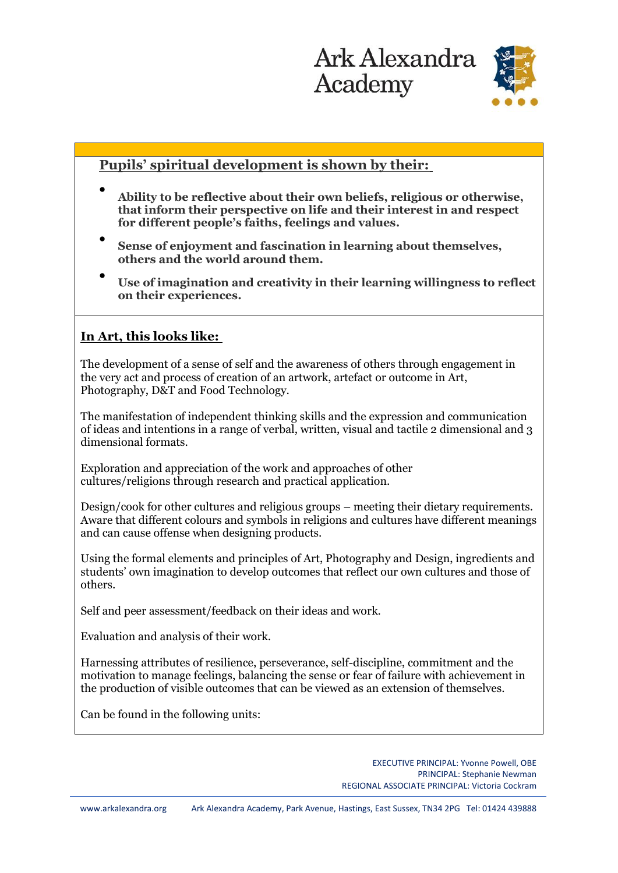

## **Pupils' spiritual development is shown by their:**

- **Ability to be reflective about their own beliefs, religious or otherwise, that inform their perspective on life and their interest in and respect for different people's faiths, feelings and values.**
- **Sense of enjoyment and fascination in learning about themselves, others and the world around them.**
- **Use of imagination and creativity in their learning willingness to reflect on their experiences.**

## **In Art, this looks like:**

The development of a sense of self and the awareness of others through engagement in the very act and process of creation of an artwork, artefact or outcome in Art, Photography, D&T and Food Technology.

The manifestation of independent thinking skills and the expression and communication of ideas and intentions in a range of verbal, written, visual and tactile 2 dimensional and 3 dimensional formats.

Exploration and appreciation of the work and approaches of other cultures/religions through research and practical application.

Design/cook for other cultures and religious groups – meeting their dietary requirements. Aware that different colours and symbols in religions and cultures have different meanings and can cause offense when designing products.

Using the formal elements and principles of Art, Photography and Design, ingredients and students' own imagination to develop outcomes that reflect our own cultures and those of others.

Self and peer assessment/feedback on their ideas and work.

Evaluation and analysis of their work.

Harnessing attributes of resilience, perseverance, self-discipline, commitment and the motivation to manage feelings, balancing the sense or fear of failure with achievement in the production of visible outcomes that can be viewed as an extension of themselves.

Can be found in the following units: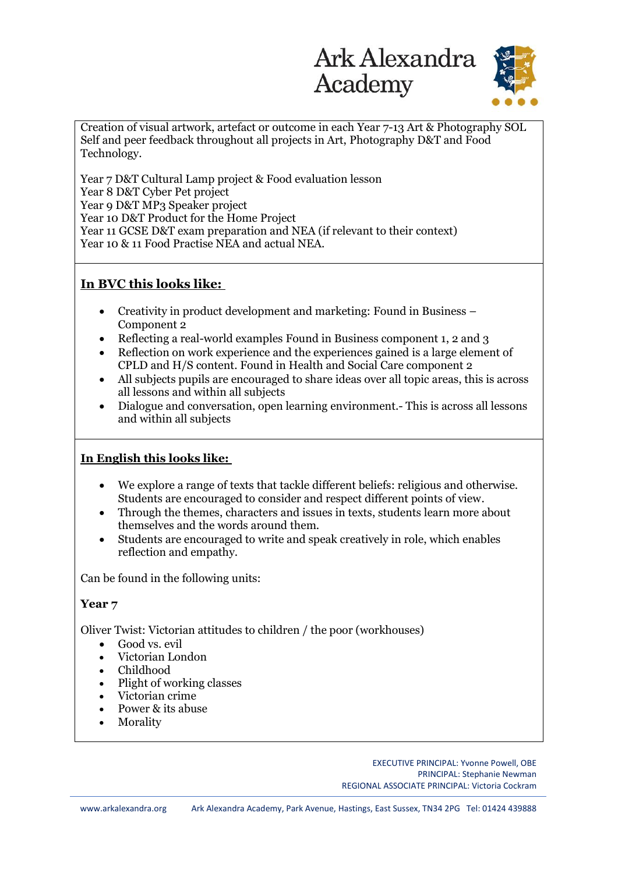

Creation of visual artwork, artefact or outcome in each Year 7-13 Art & Photography SOL Self and peer feedback throughout all projects in Art, Photography D&T and Food Technology.

Year 7 D&T Cultural Lamp project & Food evaluation lesson Year 8 D&T Cyber Pet project Year 9 D&T MP3 Speaker project Year 10 D&T Product for the Home Project Year 11 GCSE D&T exam preparation and NEA (if relevant to their context) Year 10 & 11 Food Practise NEA and actual NEA.

## **In BVC this looks like:**

- Creativity in product development and marketing: Found in Business Component 2
- Reflecting a real-world examples Found in Business component 1, 2 and 3
- Reflection on work experience and the experiences gained is a large element of CPLD and H/S content. Found in Health and Social Care component 2
- All subjects pupils are encouraged to share ideas over all topic areas, this is across all lessons and within all subjects
- Dialogue and conversation, open learning environment.- This is across all lessons and within all subjects

## **In English this looks like:**

- We explore a range of texts that tackle different beliefs: religious and otherwise. Students are encouraged to consider and respect different points of view.
- Through the themes, characters and issues in texts, students learn more about themselves and the words around them.
- Students are encouraged to write and speak creatively in role, which enables reflection and empathy.

Can be found in the following units:

### **Year 7**

Oliver Twist: Victorian attitudes to children / the poor (workhouses)

- Good vs. evil
- Victorian London
- Childhood
- Plight of working classes
- Victorian crime
- Power & its abuse
- **Morality**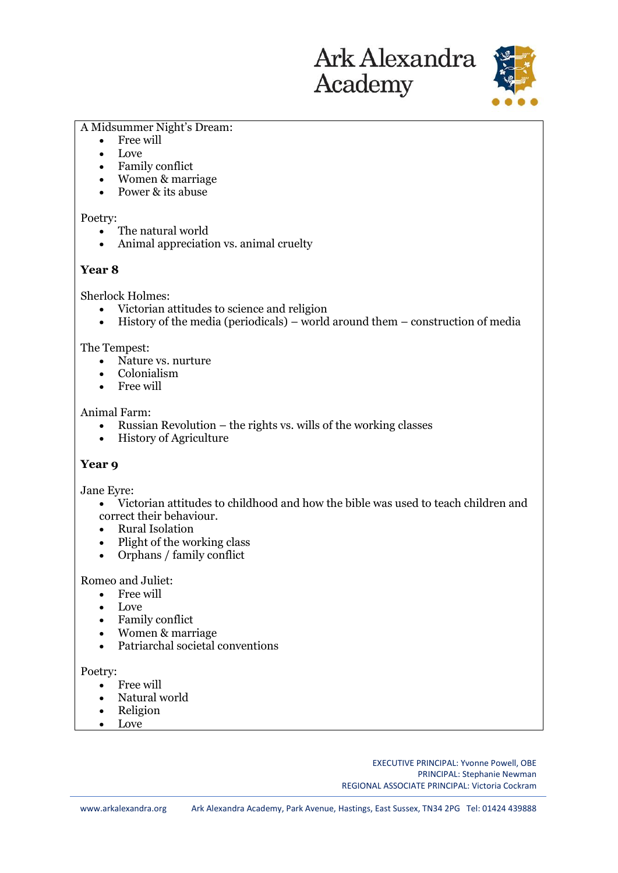

#### A Midsummer Night's Dream:

- Free will
- Love
- Family conflict
- Women & marriage
- Power & its abuse

#### Poetry:

- The natural world
- Animal appreciation vs. animal cruelty

#### **Year 8**

Sherlock Holmes:

- Victorian attitudes to science and religion
- History of the media (periodicals) world around them construction of media

#### The Tempest:

- Nature vs. nurture
- Colonialism
- Free will

#### Animal Farm:

- Russian Revolution the rights vs. wills of the working classes
- History of Agriculture

#### **Year 9**

Jane Eyre:

- Victorian attitudes to childhood and how the bible was used to teach children and correct their behaviour.
- Rural Isolation
- Plight of the working class
- Orphans / family conflict

#### Romeo and Juliet:

- Free will
- Love
- Family conflict
- Women & marriage
- Patriarchal societal conventions

#### Poetry:

- Free will
- Natural world
- Religion
- Love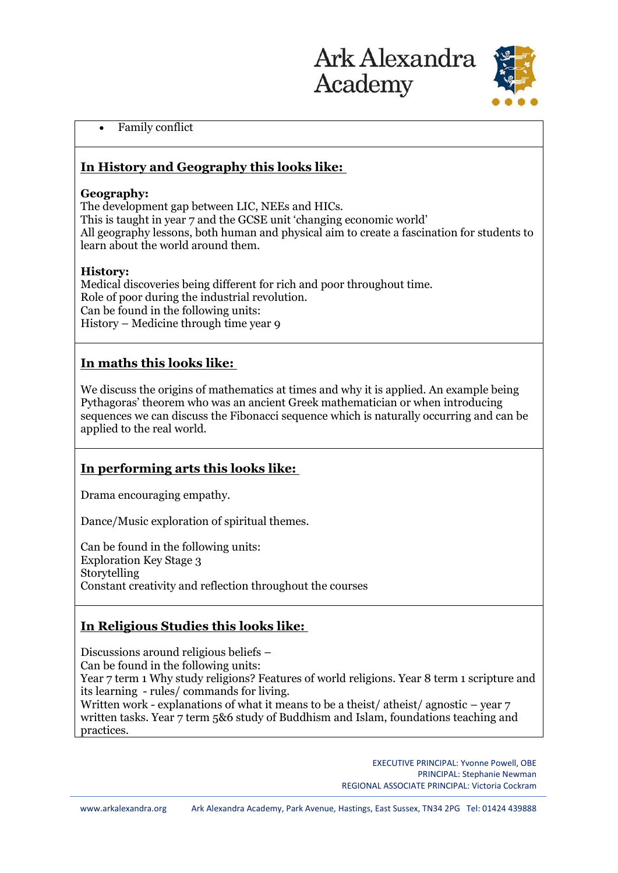

### • Family conflict

## **In History and Geography this looks like:**

### **Geography:**

The development gap between LIC, NEEs and HICs. This is taught in year 7 and the GCSE unit 'changing economic world' All geography lessons, both human and physical aim to create a fascination for students to learn about the world around them.

## **History:**

Medical discoveries being different for rich and poor throughout time. Role of poor during the industrial revolution. Can be found in the following units: History – Medicine through time year 9

# **In maths this looks like:**

We discuss the origins of mathematics at times and why it is applied. An example being Pythagoras' theorem who was an ancient Greek mathematician or when introducing sequences we can discuss the Fibonacci sequence which is naturally occurring and can be applied to the real world.

## **In performing arts this looks like:**

Drama encouraging empathy.

Dance/Music exploration of spiritual themes.

Can be found in the following units: Exploration Key Stage 3 Storytelling Constant creativity and reflection throughout the courses

# **In Religious Studies this looks like:**

Discussions around religious beliefs – Can be found in the following units: Year 7 term 1 Why study religions? Features of world religions. Year 8 term 1 scripture and its learning - rules/ commands for living. Written work - explanations of what it means to be a theist/ atheist/ agnostic  $-$  year  $7$ written tasks. Year 7 term 5&6 study of Buddhism and Islam, foundations teaching and practices.